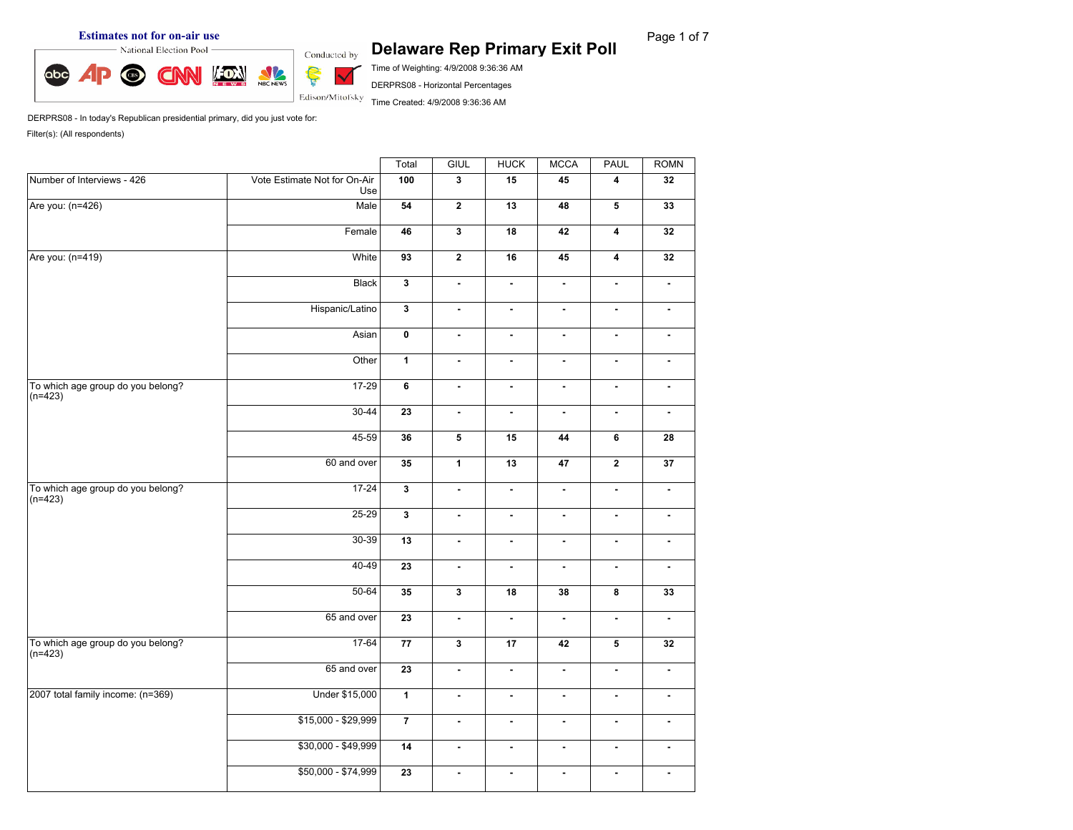### **Estimates not for on-air use**<br> **Page 1 of 7**<br> **Conducted by Delaware Rep Primary Exit Poll**



Time of Weighting: 4/9/2008 9:36:36 AM DERPRS08 - Horizontal Percentages

Time Created: 4/9/2008 9:36:36 AM

DERPRS08 - In today's Republican presidential primary, did you just vote for: Filter(s): (All respondents)

|                                                |                                     | Total                                                                | GIUL           | <b>HUCK</b>     | <b>MCCA</b>    |                                                                                                                                                                                                            | <b>ROMN</b>    |
|------------------------------------------------|-------------------------------------|----------------------------------------------------------------------|----------------|-----------------|----------------|------------------------------------------------------------------------------------------------------------------------------------------------------------------------------------------------------------|----------------|
| Number of Interviews - 426                     | Vote Estimate Not for On-Air<br>Use | 100                                                                  | $\mathbf{3}$   | 15              | 45             | 4                                                                                                                                                                                                          | 32             |
| Are you: (n=426)                               | Male                                | 54                                                                   | $\mathbf{2}$   | $\overline{13}$ | 48             | 5                                                                                                                                                                                                          | 33             |
|                                                | Female                              | 46                                                                   | $\mathbf{3}$   | ${\bf 18}$      | 42             | PAUL<br>$\overline{\mathbf{4}}$<br>$\overline{\mathbf{4}}$<br>ä,<br>÷.<br>ä,<br>٠<br>ä,<br>$\blacksquare$<br>6<br>$\mathbf{2}$<br>÷.<br>$\blacksquare$<br>ä,<br>$\blacksquare$<br>8<br>÷.<br>5<br>÷.<br>ä, | 32             |
| Are you: (n=419)                               | White                               | 93                                                                   | $\overline{2}$ | 16              | 45             |                                                                                                                                                                                                            | 32             |
|                                                | <b>Black</b>                        | $\mathbf{3}$                                                         | $\omega$       | $\omega$        | ä,             |                                                                                                                                                                                                            | $\omega$       |
|                                                | Hispanic/Latino                     | $\overline{\mathbf{3}}$                                              | $\blacksquare$ | $\blacksquare$  | $\blacksquare$ |                                                                                                                                                                                                            | $\blacksquare$ |
|                                                | Asian                               | $\pmb{0}$                                                            | $\blacksquare$ | $\blacksquare$  | $\blacksquare$ |                                                                                                                                                                                                            | $\blacksquare$ |
|                                                | Other                               | $\overline{1}$<br>$\blacksquare$<br>$\blacksquare$<br>$\blacksquare$ |                | $\blacksquare$  |                |                                                                                                                                                                                                            |                |
| To which age group do you belong?<br>$(n=423)$ | $17 - 29$                           | 6                                                                    | $\blacksquare$ | ä,              | ä,             |                                                                                                                                                                                                            | $\blacksquare$ |
|                                                | $30 - 44$                           | $\overline{23}$                                                      | $\blacksquare$ | $\blacksquare$  | ä,             |                                                                                                                                                                                                            | ÷.             |
|                                                | $45 - 59$                           | 36                                                                   | 5              | 15              | 44             |                                                                                                                                                                                                            | 28             |
|                                                | 60 and over                         | 35                                                                   | $\mathbf{1}$   | 13              | 47             |                                                                                                                                                                                                            | 37             |
| To which age group do you belong?<br>(n=423)   | $17 - 24$                           | $\mathbf 3$                                                          | $\blacksquare$ | $\blacksquare$  | $\blacksquare$ |                                                                                                                                                                                                            | $\blacksquare$ |
|                                                | $25 - 29$                           | $\mathbf{3}$                                                         | $\blacksquare$ | $\blacksquare$  | $\blacksquare$ | ä,<br>÷.<br>÷.                                                                                                                                                                                             | $\blacksquare$ |
|                                                | $30 - 39$                           | $\overline{13}$                                                      | $\blacksquare$ | $\blacksquare$  | $\blacksquare$ |                                                                                                                                                                                                            | $\blacksquare$ |
|                                                | 40-49                               | 23                                                                   | $\blacksquare$ | $\blacksquare$  | $\blacksquare$ |                                                                                                                                                                                                            | $\blacksquare$ |
|                                                | $50 - 64$                           | $\overline{35}$                                                      | 3              | 18              | ${\bf 38}$     |                                                                                                                                                                                                            | 33             |
|                                                | 65 and over                         | $\overline{23}$                                                      | $\blacksquare$ | $\blacksquare$  | $\blacksquare$ |                                                                                                                                                                                                            | $\blacksquare$ |
| To which age group do you belong?<br>$(n=423)$ | $17-64$                             | 77                                                                   | 3              | 17              | 42             |                                                                                                                                                                                                            | 32             |
|                                                | 65 and over                         | $\overline{23}$                                                      | $\Box$         | $\blacksquare$  | $\blacksquare$ |                                                                                                                                                                                                            | $\blacksquare$ |
| 2007 total family income: (n=369)              | Under \$15,000                      | $\mathbf{1}$                                                         | $\blacksquare$ | $\blacksquare$  | ä,             |                                                                                                                                                                                                            | $\blacksquare$ |
|                                                | \$15,000 - \$29,999                 | $\overline{7}$                                                       | $\blacksquare$ | $\blacksquare$  | $\blacksquare$ |                                                                                                                                                                                                            | $\blacksquare$ |
|                                                | $$30,000 - $49,999$                 | $\overline{14}$                                                      | $\blacksquare$ | $\blacksquare$  | $\blacksquare$ |                                                                                                                                                                                                            | $\blacksquare$ |
|                                                | \$50,000 - \$74,999                 | 23                                                                   | $\blacksquare$ | $\blacksquare$  | $\blacksquare$ |                                                                                                                                                                                                            | $\blacksquare$ |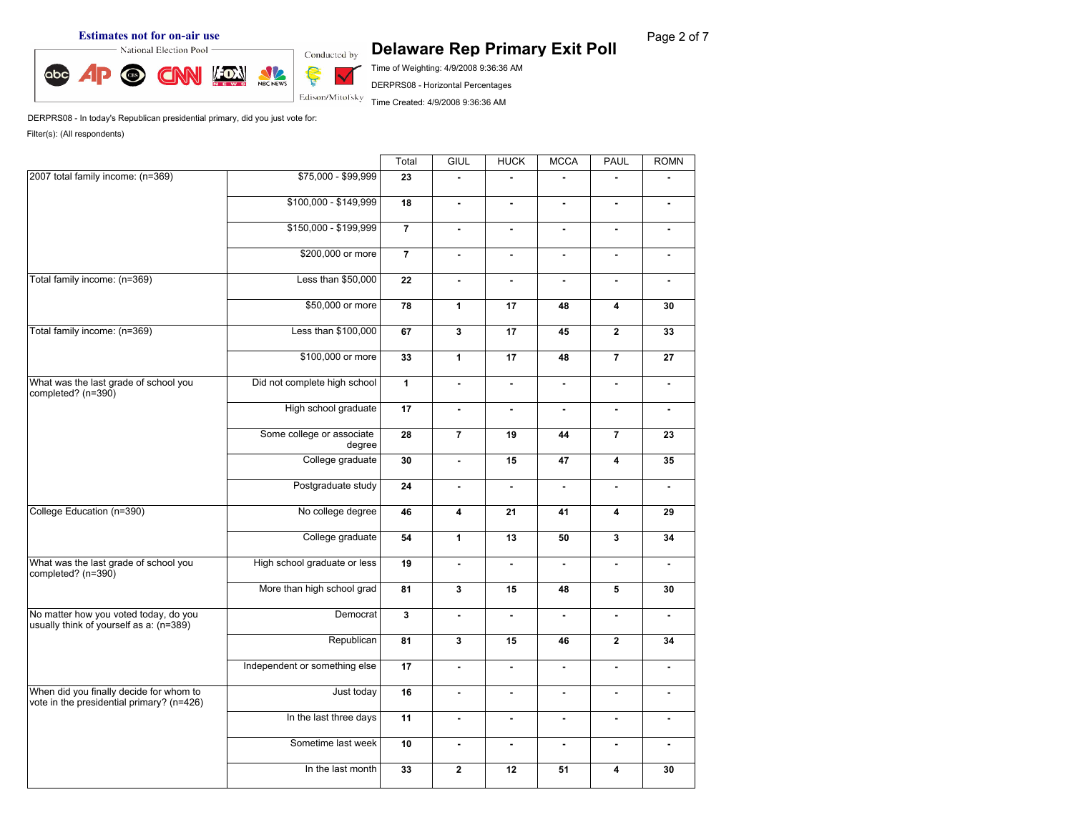# **Estimates not for on-air use**<br> **Page 2 of 7**<br> **Delaware Rep Primary Exit Poll**



Time of Weighting: 4/9/2008 9:36:36 AM DERPRS08 - Horizontal Percentages

Time Created: 4/9/2008 9:36:36 AM

DERPRS08 - In today's Republican presidential primary, did you just vote for: Filter(s): (All respondents)

|                                                                                      |                                     | Total          | GIUL                  | <b>HUCK</b>    | <b>MCCA</b>    | PAUL                    | <b>ROMN</b>    |
|--------------------------------------------------------------------------------------|-------------------------------------|----------------|-----------------------|----------------|----------------|-------------------------|----------------|
| 2007 total family income: (n=369)                                                    | \$75,000 - \$99,999                 | 23             | $\overline{a}$        | ÷.             | ÷.             | $\blacksquare$          | ä,             |
|                                                                                      | \$100,000 - \$149,999               | 18             | $\blacksquare$        | $\blacksquare$ | ÷.             | $\blacksquare$          | $\blacksquare$ |
|                                                                                      | \$150,000 - \$199,999               | $\overline{7}$ | $\blacksquare$        | ä,             | $\blacksquare$ | $\blacksquare$          | $\blacksquare$ |
|                                                                                      | \$200,000 or more                   | $\overline{7}$ | $\blacksquare$        | $\blacksquare$ | $\blacksquare$ | $\blacksquare$          | $\blacksquare$ |
| Total family income: (n=369)                                                         | Less than \$50,000                  | 22             | $\blacksquare$        | $\blacksquare$ | $\blacksquare$ | $\blacksquare$          | $\blacksquare$ |
|                                                                                      | \$50,000 or more                    | 78             | $\mathbf{1}$          | 17             | 48             | 4                       | 30             |
| Total family income: (n=369)                                                         | Less than \$100,000                 | 67             | $\mathbf{3}$          | 17             | 45             | $\mathbf{2}$            | 33             |
|                                                                                      | \$100,000 or more                   | 33             | $\mathbf{1}$          | 17             | 48             | $\overline{7}$          | 27             |
| What was the last grade of school you<br>completed? (n=390)                          | Did not complete high school        | $\mathbf{1}$   | $\blacksquare$        | ä,             | $\blacksquare$ | $\blacksquare$          | $\blacksquare$ |
|                                                                                      | High school graduate                | 17             | $\blacksquare$        | $\blacksquare$ | $\blacksquare$ | $\blacksquare$          | $\blacksquare$ |
|                                                                                      | Some college or associate<br>degree | 28             | $\overline{7}$        | 19             | 44             | $\overline{7}$          | 23             |
|                                                                                      | College graduate                    | 30             | $\blacksquare$        | 15             | 47             | 4                       | 35             |
|                                                                                      | Postgraduate study                  | 24             | $\blacksquare$        | $\blacksquare$ | ä,             | $\blacksquare$          | $\blacksquare$ |
| College Education (n=390)                                                            | No college degree                   | 46             | 4                     | 21             | 41             | 4                       | 29             |
|                                                                                      | College graduate                    | 54             | $\mathbf{1}$          | 13             | 50             | $\mathbf{3}$            | 34             |
| What was the last grade of school you<br>completed? (n=390)                          | High school graduate or less        | 19             | $\blacksquare$        | ä,             | ä,             | $\blacksquare$          | $\blacksquare$ |
|                                                                                      | More than high school grad          | 81             | $\mathbf{3}$          | 15             | 48             | 5                       | 30             |
| No matter how you voted today, do you<br>usually think of yourself as a: (n=389)     | Democrat                            | 3              | $\tilde{\phantom{a}}$ | ä,             | ä,             | ä,                      | $\blacksquare$ |
|                                                                                      | Republican                          | 81             | $\mathbf{3}$          | 15             | 46             | $\mathbf{2}$            | 34             |
|                                                                                      | Independent or something else       | 17             | $\tilde{\phantom{a}}$ | ä,             | $\blacksquare$ | ä,                      | $\blacksquare$ |
| When did you finally decide for whom to<br>vote in the presidential primary? (n=426) | Just today                          | 16             | $\blacksquare$        | ٠              | $\blacksquare$ | $\blacksquare$          | $\blacksquare$ |
|                                                                                      | In the last three days              | 11             | $\blacksquare$        | ٠              | $\blacksquare$ | $\blacksquare$          | $\blacksquare$ |
|                                                                                      | Sometime last week                  | 10             | $\tilde{\phantom{a}}$ | ٠              | ä,             | ä,                      | $\blacksquare$ |
|                                                                                      | In the last month                   | 33             | $\mathbf{2}$          | 12             | 51             | $\overline{\mathbf{4}}$ | 30             |
|                                                                                      |                                     |                |                       |                |                |                         |                |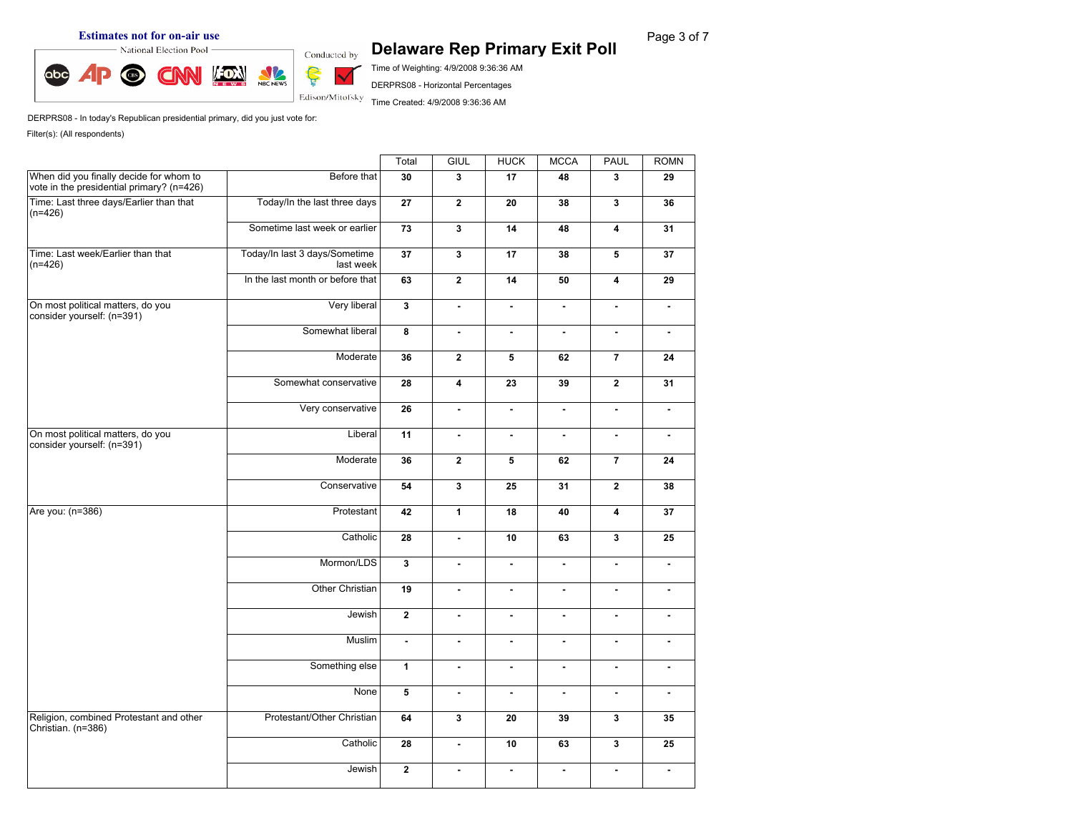### **Estimates not for on-air use**<br> **Page 3 of 7**<br> **Delaware Rep Primary Exit Poll**



Time of Weighting: 4/9/2008 9:36:36 AM DERPRS08 - Horizontal Percentages

Time Created: 4/9/2008 9:36:36 AM

DERPRS08 - In today's Republican presidential primary, did you just vote for: Filter(s): (All respondents)

|                                                                                      |                                            | Total           | GIUL           | <b>HUCK</b>    | <b>MCCA</b>    | PAUL                    | <b>ROMN</b>    |
|--------------------------------------------------------------------------------------|--------------------------------------------|-----------------|----------------|----------------|----------------|-------------------------|----------------|
| When did you finally decide for whom to<br>vote in the presidential primary? (n=426) | Before that                                | 30              | 3              | 17             | 48             | $\mathbf{3}$            | 29             |
| Time: Last three days/Earlier than that<br>$(n=426)$                                 | Today/In the last three days               | 27              | $\overline{2}$ | 20             | 38             | $\mathbf{3}$            | 36             |
|                                                                                      | Sometime last week or earlier              | 73              | 3              | 14             | 48             | $\overline{\mathbf{4}}$ | 31             |
| Time: Last week/Earlier than that<br>$(n=426)$                                       | Today/In last 3 days/Sometime<br>last week | $\overline{37}$ | 3              | 17             | 38             | 5                       | 37             |
|                                                                                      | In the last month or before that           | 63              | $\mathbf{2}$   | 14             | 50             | $\overline{\mathbf{4}}$ | 29             |
| On most political matters, do you<br>consider yourself: (n=391)                      | Very liberal                               | $\mathbf{3}$    | $\blacksquare$ | ٠              | ä,             | $\blacksquare$          | $\blacksquare$ |
|                                                                                      | Somewhat liberal                           | 8               | $\blacksquare$ | ä,             | ä,             | ä,                      | $\blacksquare$ |
|                                                                                      | Moderate                                   | 36              | $\mathbf{2}$   | 5              | 62             | $\overline{7}$          | 24             |
|                                                                                      | Somewhat conservative                      | 28              | 4              | 23             | 39             | $\mathbf{2}$            | 31             |
|                                                                                      | Very conservative                          | 26              | ä,             | $\blacksquare$ | ä,             | ä,                      | $\blacksquare$ |
| On most political matters, do you<br>consider yourself: (n=391)                      | Liberal                                    | 11              | ä,             | ä,             | $\blacksquare$ | ä,                      | $\blacksquare$ |
|                                                                                      | Moderate                                   | 36              | $\mathbf{2}$   | 5              | 62             | $\overline{7}$          | 24             |
|                                                                                      | Conservative                               | 54              | 3              | 25             | 31             | $\mathbf{2}$            | 38             |
| Are you: (n=386)                                                                     | Protestant                                 | 42              | $\mathbf{1}$   | 18             | 40             | 4                       | 37             |
|                                                                                      | Catholic                                   | 28              | $\blacksquare$ | 10             | 63             | $\mathbf{3}$            | 25             |
|                                                                                      | Mormon/LDS                                 | $\mathbf{3}$    | $\blacksquare$ | ä,             | $\blacksquare$ | $\blacksquare$          | $\blacksquare$ |
|                                                                                      | Other Christian                            | 19              | ä,             | ٠              | ä,             | ä,                      | ÷.             |
|                                                                                      | Jewish                                     | $\mathbf 2$     | ä,             | ä,             | ä,             | ä,                      | $\blacksquare$ |
|                                                                                      | Muslim                                     | $\blacksquare$  | ä,             | ä,             | ä,             | ä,                      | $\blacksquare$ |
|                                                                                      | Something else                             | $\mathbf{1}$    | ä,             | ä,             | ä,             | ä,                      | ä,             |
|                                                                                      | None                                       | 5               | ä,             | ä,             | ä,             | ä,                      | $\blacksquare$ |
| Religion, combined Protestant and other<br>Christian. (n=386)                        | Protestant/Other Christian                 | 64              | $\mathbf{3}$   | 20             | 39             | $\mathbf{3}$            | 35             |
|                                                                                      | Catholic                                   | 28              | ä,             | 10             | 63             | $\mathbf{3}$            | 25             |
|                                                                                      | Jewish                                     | $\mathbf{2}$    | $\blacksquare$ | ÷.             | $\blacksquare$ | ÷.                      | ÷.             |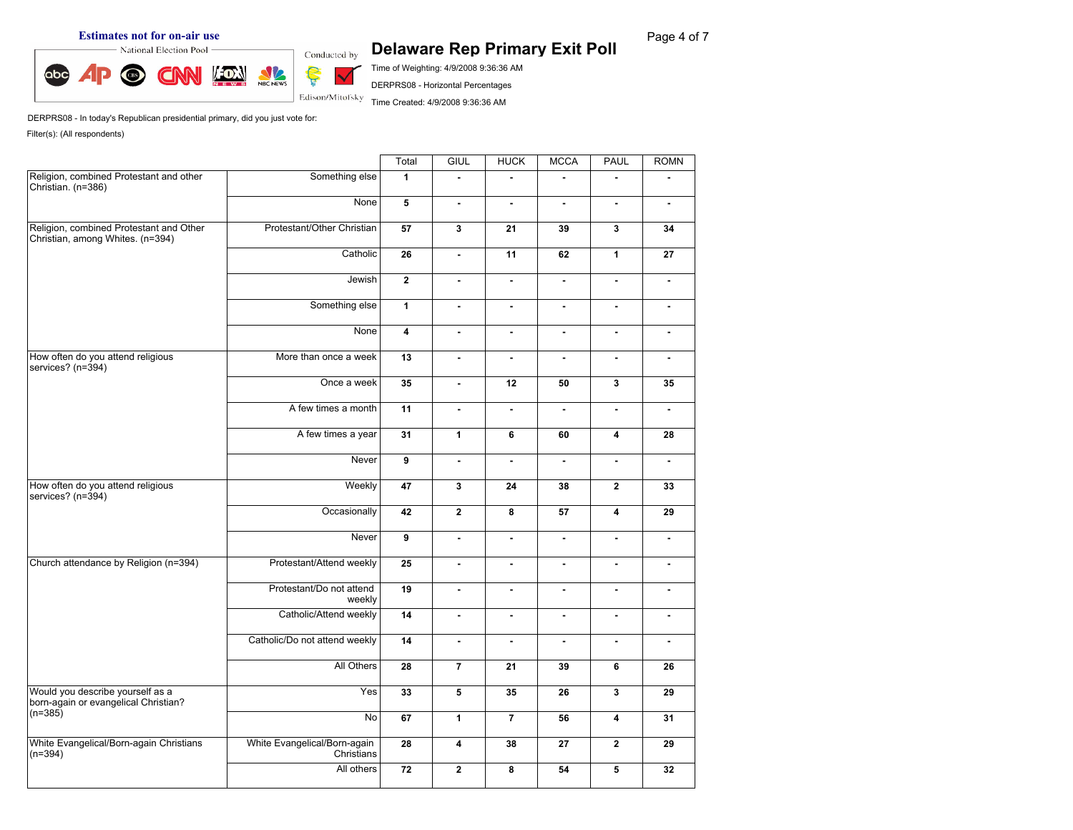### **Estimates not for on-air use**<br> **Page 4 of 7**<br> **Conducted by Delaware Rep Primary Exit Poll**



Time of Weighting: 4/9/2008 9:36:36 AM DERPRS08 - Horizontal Percentages

Time Created: 4/9/2008 9:36:36 AM

DERPRS08 - In today's Republican presidential primary, did you just vote for:

|                                                                             |                                            | Total                   | <b>GIUL</b>                 | <b>HUCK</b>    | <b>MCCA</b>    | PAUL           | <b>ROMN</b>    |
|-----------------------------------------------------------------------------|--------------------------------------------|-------------------------|-----------------------------|----------------|----------------|----------------|----------------|
| Religion, combined Protestant and other<br>Christian. (n=386)               | Something else                             | $\mathbf{1}$            | ä,                          | ä,             |                | $\blacksquare$ |                |
|                                                                             | None                                       | 5                       | $\blacksquare$              | $\blacksquare$ | $\blacksquare$ | ä,             | $\blacksquare$ |
| Religion, combined Protestant and Other<br>Christian, among Whites. (n=394) | Protestant/Other Christian                 | 57                      | $\mathbf{3}$                | 21             | 39             | $\mathbf{3}$   | 34             |
|                                                                             | Catholic                                   | 26                      | $\mathbf{r}$                | 11             | 62             | $\mathbf{1}$   | 27             |
|                                                                             | Jewish                                     | $\overline{2}$          | $\mathcal{L}_{\mathcal{C}}$ | $\blacksquare$ | $\blacksquare$ | $\blacksquare$ | $\blacksquare$ |
|                                                                             | Something else                             | $\mathbf{1}$            | $\blacksquare$              | $\blacksquare$ | $\blacksquare$ | $\blacksquare$ | $\blacksquare$ |
|                                                                             | None                                       | $\overline{\mathbf{4}}$ | $\blacksquare$              | $\blacksquare$ | $\blacksquare$ | $\blacksquare$ | $\blacksquare$ |
| How often do you attend religious<br>services? $(n=394)$                    | More than once a week                      | 13                      | $\blacksquare$              | $\blacksquare$ | $\blacksquare$ | $\blacksquare$ | $\blacksquare$ |
|                                                                             | Once a week                                | ${\bf 35}$              | ä,                          | 12             | 50             | $\mathbf{3}$   | 35             |
|                                                                             | A few times a month                        | 11                      | $\sim$                      | $\blacksquare$ | $\blacksquare$ | $\blacksquare$ | $\blacksquare$ |
|                                                                             | A few times a year                         | 31                      | $\mathbf{1}$                | 6              | 60             | 4              | 28             |
|                                                                             | Never                                      | 9                       | ä,                          | $\blacksquare$ | $\blacksquare$ | $\blacksquare$ | ÷.             |
| How often do you attend religious<br>services? $(n=394)$                    | Weekly                                     | 47                      | 3                           | 24             | 38             | $\mathbf{2}$   | 33             |
|                                                                             | Occasionally                               | 42                      | $\mathbf{2}$                | 8              | 57             | 4              | 29             |
|                                                                             | Never                                      | 9                       | $\blacksquare$              | $\blacksquare$ | ä,             | $\blacksquare$ | $\mathbf{r}$   |
| Church attendance by Religion (n=394)                                       | Protestant/Attend weekly                   | 25                      | $\mathbf{r}$                | $\blacksquare$ | $\blacksquare$ | $\blacksquare$ | $\blacksquare$ |
|                                                                             | Protestant/Do not attend<br>weekly         | 19                      | $\blacksquare$              | $\blacksquare$ | ÷.             | $\blacksquare$ | $\blacksquare$ |
|                                                                             | Catholic/Attend weekly                     | 14                      | $\mathbf{r}$                | $\mathbf{r}$   | $\omega$       | $\blacksquare$ | $\blacksquare$ |
|                                                                             | Catholic/Do not attend weekly              | 14                      | $\mathbf{r}$                | $\mathbf{r}$   | $\blacksquare$ | $\blacksquare$ | $\blacksquare$ |
|                                                                             | All Others                                 | 28                      | $\overline{7}$              | 21             | 39             | 6              | 26             |
| Would you describe yourself as a<br>born-again or evangelical Christian?    | Yes                                        | 33                      | 5                           | 35             | 26             | 3 <sup>1</sup> | 29             |
| $(n=385)$                                                                   | No                                         | 67                      | $\mathbf{1}$                | $\overline{7}$ | 56             | 4              | 31             |
| White Evangelical/Born-again Christians<br>$(n=394)$                        | White Evangelical/Born-again<br>Christians | 28                      | 4                           | 38             | 27             | $\mathbf{2}$   | 29             |
|                                                                             | All others                                 | 72                      | $\mathbf{2}$                | 8              | 54             | 5              | 32             |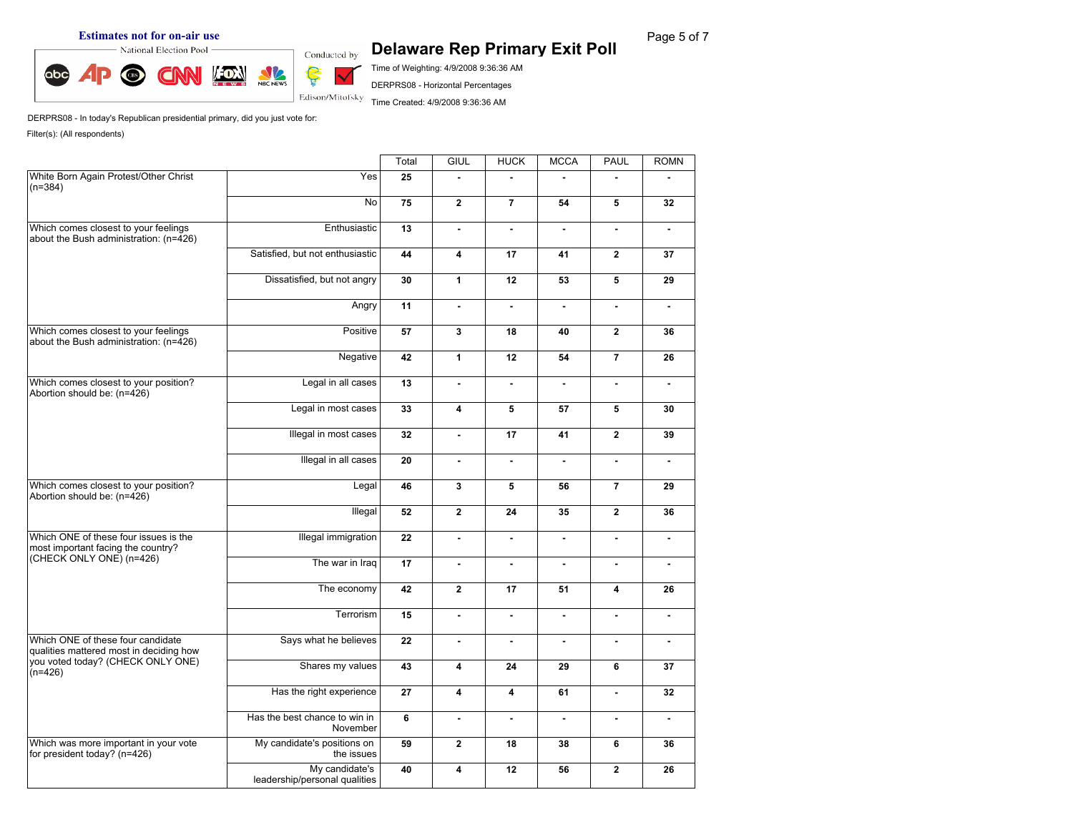**Estimates not for on-air use**<br> **Exit Poll** Page 5 of 7<br>  $\frac{1}{2}$   $\frac{1}{2}$   $\frac{1}{2}$   $\frac{1}{2}$   $\frac{1}{2}$   $\frac{1}{2}$   $\frac{1}{2}$   $\frac{1}{2}$   $\frac{1}{2}$   $\frac{1}{2}$   $\frac{1}{2}$   $\frac{1}{2}$   $\frac{1}{2}$   $\frac{1}{2}$   $\frac{1}{2}$   $\frac{1}{2}$   $\frac{1$ 



Time of Weighting: 4/9/2008 9:36:36 AM DERPRS08 - Horizontal Percentages

Time Created: 4/9/2008 9:36:36 AM

DERPRS08 - In today's Republican presidential primary, did you just vote for:

|                                                                                  |                                                 | Total | GIUL                    | <b>HUCK</b>           | <b>MCCA</b>    | PAUL                                                                                        | <b>ROMN</b>    |
|----------------------------------------------------------------------------------|-------------------------------------------------|-------|-------------------------|-----------------------|----------------|---------------------------------------------------------------------------------------------|----------------|
| White Born Again Protest/Other Christ<br>$(n=384)$                               | Yes                                             | 25    |                         | ÷.                    |                |                                                                                             |                |
|                                                                                  | No                                              | 75    | $\mathbf{2}$            | $\overline{7}$        | 54             | 5                                                                                           | 32             |
| Which comes closest to your feelings<br>about the Bush administration: $(n=426)$ | Enthusiastic                                    | 13    | $\blacksquare$          | $\blacksquare$        | $\blacksquare$ | ÷.                                                                                          | $\blacksquare$ |
|                                                                                  | Satisfied, but not enthusiastic                 | 44    | $\overline{\mathbf{4}}$ | 17                    | 41             | $\mathbf{2}$                                                                                | 37             |
|                                                                                  | Dissatisfied, but not angry                     | 30    | $\mathbf{1}$            | 12                    | 53             | 5                                                                                           | 29             |
|                                                                                  | Angry                                           | 11    | $\blacksquare$          | $\mathbf{r}$          | $\blacksquare$ | ä,                                                                                          | $\blacksquare$ |
| Which comes closest to your feelings<br>about the Bush administration: $(n=426)$ | Positive                                        | 57    | 3                       | 18                    | 40             | $\mathbf{2}$                                                                                | 36             |
|                                                                                  | Negative                                        | 42    | $\mathbf{1}$            | 12                    | 54             | $\overline{7}$                                                                              | 26             |
| Which comes closest to your position?<br>Abortion should be: (n=426)             | Legal in all cases                              | 13    | $\blacksquare$          | $\tilde{\phantom{a}}$ | $\blacksquare$ | ä,                                                                                          | $\blacksquare$ |
|                                                                                  | Legal in most cases                             | 33    | 4                       | 5                     | 57             | 5                                                                                           | 30             |
|                                                                                  | Illegal in most cases                           | 32    | $\blacksquare$          | 17                    | 41             | $\mathbf{2}$                                                                                | 39             |
|                                                                                  | Illegal in all cases                            | 20    | ä,                      | ä,                    | $\blacksquare$ | ä,                                                                                          | ä,             |
| Which comes closest to your position?<br>Abortion should be: (n=426)             | Legal                                           | 46    | $\mathbf{3}$            | 5                     | 56             | $\overline{7}$                                                                              | 29             |
|                                                                                  | <b>Illegal</b>                                  | 52    | $\mathbf{2}$            | 24                    | 35             | $\mathbf{2}$                                                                                | 36             |
| Which ONE of these four issues is the<br>most important facing the country?      | <b>Illegal immigration</b>                      | 22    | $\blacksquare$          | $\blacksquare$        | $\blacksquare$ | ä,                                                                                          | ÷.             |
| (CHECK ONLY ONE) (n=426)                                                         | The war in Iraq                                 | 17    | $\blacksquare$          | $\blacksquare$        | $\blacksquare$ | ä,<br>$\overline{\mathbf{4}}$<br>÷.<br>ä,<br>6<br>$\blacksquare$<br>ä,<br>6<br>$\mathbf{2}$ | ÷.             |
|                                                                                  | The economy                                     | 42    | $\mathbf{2}$            | 17                    | 51             |                                                                                             | 26             |
|                                                                                  | Terrorism                                       | 15    | $\blacksquare$          | $\blacksquare$        | $\blacksquare$ |                                                                                             | $\mathbf{r}$   |
| Which ONE of these four candidate<br>qualities mattered most in deciding how     | Says what he believes                           | 22    | ÷.                      | $\blacksquare$        | $\blacksquare$ |                                                                                             | $\mathbf{r}$   |
| you voted today? (CHECK ONLY ONE)<br>$(n=426)$                                   | Shares my values                                | 43    | $\overline{\mathbf{4}}$ | 24                    | 29             |                                                                                             | 37             |
|                                                                                  | Has the right experience                        | 27    | 4                       | 4                     | 61             |                                                                                             | 32             |
|                                                                                  | Has the best chance to win in<br>November       | 6     | $\blacksquare$          | $\blacksquare$        | $\blacksquare$ |                                                                                             | $\blacksquare$ |
| Which was more important in your vote<br>for president today? (n=426)            | My candidate's positions on<br>the issues       | 59    | $\overline{2}$          | 18                    | 38             |                                                                                             | 36             |
|                                                                                  | My candidate's<br>leadership/personal qualities | 40    | 4                       | 12                    | 56             |                                                                                             | 26             |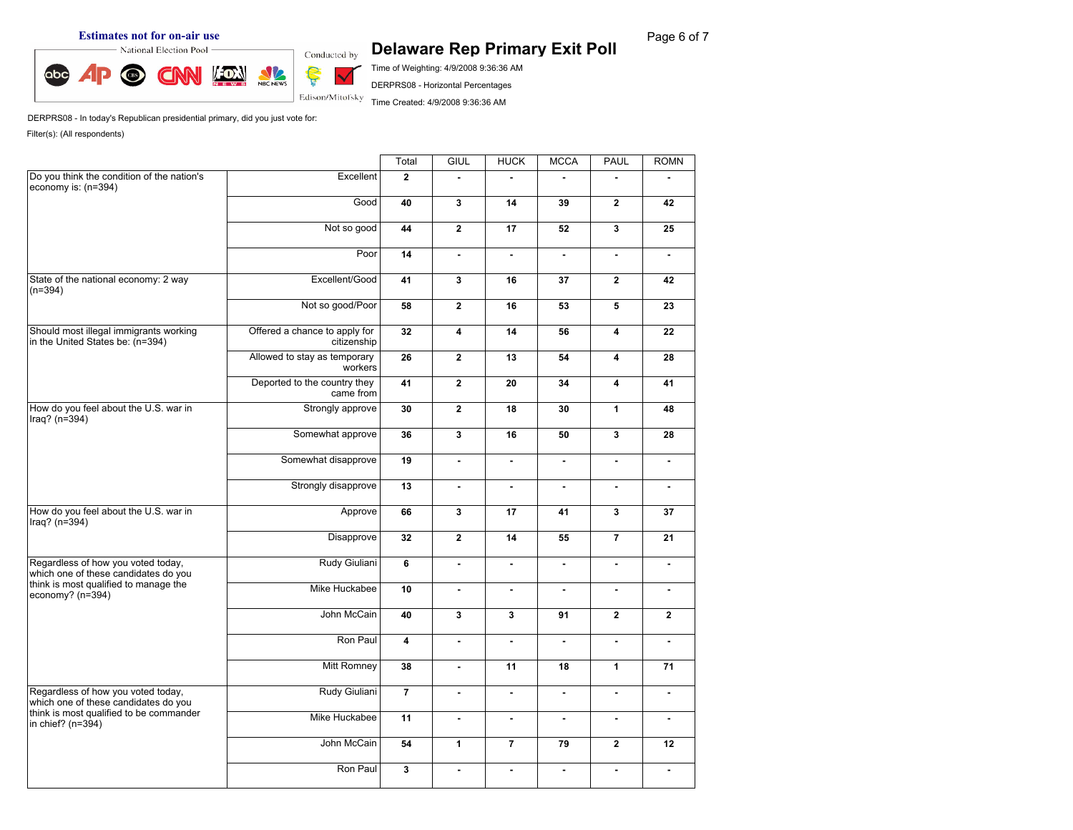# **Estimates not for on-air use**<br> **Exit Poll** Page 6 of 7<br>  $\frac{1}{\text{Conduced by}}$  **Delaware Rep Primary Exit Poll**



Time of Weighting: 4/9/2008 9:36:36 AM DERPRS08 - Horizontal Percentages

Time Created: 4/9/2008 9:36:36 AM

DERPRS08 - In today's Republican presidential primary, did you just vote for:

|                                                                            |                                              | Total                   | <b>GIUL</b>             | <b>HUCK</b>    | <b>MCCA</b>    | PAUL           | <b>ROMN</b>    |
|----------------------------------------------------------------------------|----------------------------------------------|-------------------------|-------------------------|----------------|----------------|----------------|----------------|
| Do you think the condition of the nation's<br>economy is: (n=394)          | Excellent                                    | $\mathbf{2}$            |                         |                |                |                |                |
|                                                                            | Good                                         | 40                      | $\mathbf{3}$            | 14             | 39             | $\mathbf{2}$   | 42             |
|                                                                            | Not so good                                  | 44                      | $\mathbf{2}$            | 17             | 52             | $\mathbf{3}$   | 25             |
|                                                                            | Poor                                         | 14                      | $\blacksquare$          | $\blacksquare$ | $\blacksquare$ | $\blacksquare$ | ٠              |
| State of the national economy: 2 way<br>$(n=394)$                          | Excellent/Good                               | 41                      | $\mathbf{3}$            | 16             | 37             | $\mathbf{2}$   | 42             |
|                                                                            | Not so good/Poor                             | 58                      | $\overline{2}$          | 16             | 53             | 5              | 23             |
| Should most illegal immigrants working<br>in the United States be: (n=394) | Offered a chance to apply for<br>citizenship | 32                      | $\overline{\mathbf{4}}$ | 14             | 56             | $\overline{4}$ | 22             |
|                                                                            | Allowed to stay as temporary<br>workers      | 26                      | $\mathbf{2}$            | 13             | 54             | 4              | 28             |
|                                                                            | Deported to the country they<br>came from    | 41                      | $\mathbf{2}$            | 20             | 34             | 4              | 41             |
| How do you feel about the U.S. war in<br>Iraq? $(n=394)$                   | Strongly approve                             | 30                      | $\mathbf{2}$            | 18             | 30             | $\mathbf{1}$   | 48             |
|                                                                            | Somewhat approve                             | 36                      | $\mathbf{3}$            | 16             | 50             | $\mathbf{3}$   | 28             |
|                                                                            | Somewhat disapprove                          | 19                      | $\sim$                  | $\blacksquare$ | ٠              | $\blacksquare$ | $\blacksquare$ |
|                                                                            | Strongly disapprove                          | 13                      | $\mathbf{r}$            | $\blacksquare$ | ä,             | $\blacksquare$ | $\blacksquare$ |
| How do you feel about the U.S. war in<br>Iraq? $(n=394)$                   | Approve                                      | 66                      | 3                       | 17             | 41             | $\mathbf{3}$   | 37             |
|                                                                            | Disapprove                                   | 32                      | $\mathbf{2}$            | 14             | 55             | $\overline{7}$ | 21             |
| Regardless of how you voted today,<br>which one of these candidates do you | Rudy Giuliani                                | 6                       | ä,                      | $\blacksquare$ | $\blacksquare$ | $\blacksquare$ | ä,             |
| think is most qualified to manage the<br>economy? (n=394)                  | Mike Huckabee                                | 10                      | ä,                      | $\blacksquare$ | $\blacksquare$ | ÷.             | $\blacksquare$ |
|                                                                            | John McCain                                  | 40                      | $\mathbf{3}$            | 3              | 91             | $\mathbf{2}$   | $\overline{2}$ |
|                                                                            | Ron Paul                                     | $\overline{\mathbf{4}}$ | $\blacksquare$          | $\blacksquare$ | $\blacksquare$ | $\blacksquare$ | $\blacksquare$ |
|                                                                            | Mitt Romney                                  | 38                      | $\mathbf{r}$            | 11             | 18             | $\mathbf{1}$   | 71             |
| Regardless of how you voted today,<br>which one of these candidates do you | Rudy Giuliani                                | $\overline{7}$          | $\mathbf{r}$            | $\mathbb{Z}^2$ | ÷.             | $\blacksquare$ | $\mathbf{r}$   |
| think is most qualified to be commander<br>in chief? (n=394)               | Mike Huckabee                                | 11                      | $\mathbf{r}$            | $\blacksquare$ | ÷.             | $\blacksquare$ | $\blacksquare$ |
|                                                                            | John McCain                                  | 54                      | $\mathbf{1}$            | $\overline{7}$ | 79             | $\overline{2}$ | 12             |
|                                                                            | Ron Paul                                     | 3                       | $\mathbf{r}$            | ÷.             | ÷.             | $\blacksquare$ | $\blacksquare$ |